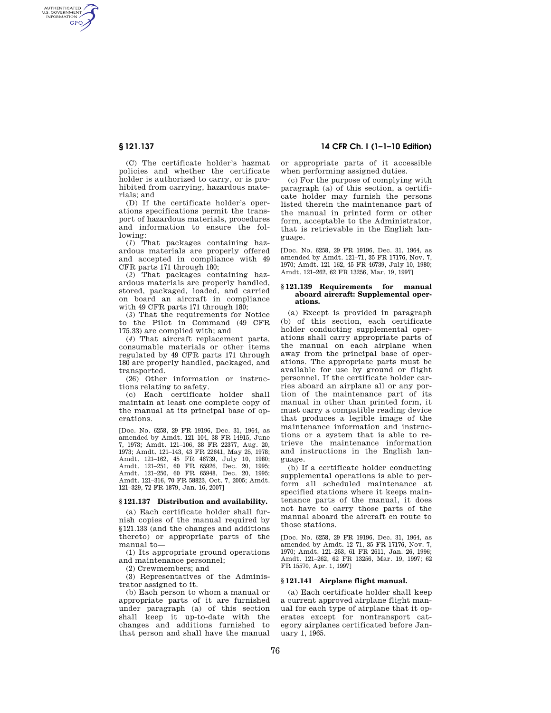AUTHENTICATED<br>U.S. GOVERNMENT<br>INFORMATION **GPO** 

> (C) The certificate holder's hazmat policies and whether the certificate holder is authorized to carry, or is prohibited from carrying, hazardous materials; and

> (D) If the certificate holder's operations specifications permit the transport of hazardous materials, procedures and information to ensure the following:

> (*1*) That packages containing hazardous materials are properly offered and accepted in compliance with 49 CFR parts 171 through 180;

> (*2*) That packages containing hazardous materials are properly handled, stored, packaged, loaded, and carried on board an aircraft in compliance with 49 CFR parts 171 through 180;

> (*3*) That the requirements for Notice to the Pilot in Command (49 CFR 175.33) are complied with; and

> (*4*) That aircraft replacement parts, consumable materials or other items regulated by 49 CFR parts 171 through 180 are properly handled, packaged, and transported.

> (26) Other information or instructions relating to safety.

> (c) Each certificate holder shall maintain at least one complete copy of the manual at its principal base of operations.

> [Doc. No. 6258, 29 FR 19196, Dec. 31, 1964, as amended by Amdt. 121–104, 38 FR 14915, June 7, 1973; Amdt. 121–106, 38 FR 22377, Aug. 20, 1973; Amdt. 121–143, 43 FR 22641, May 25, 1978; Amdt. 121–162, 45 FR 46739, July 10, 1980; Amdt. 121–251, 60 FR 65926, Dec. 20, 1995; Amdt. 121–250, 60 FR 65948, Dec. 20, 1995; Amdt. 121–316, 70 FR 58823, Oct. 7, 2005; Amdt. 121–329, 72 FR 1879, Jan. 16, 2007]

## **§ 121.137 Distribution and availability.**

(a) Each certificate holder shall furnish copies of the manual required by §121.133 (and the changes and additions thereto) or appropriate parts of the manual to—

(1) Its appropriate ground operations and maintenance personnel;

(2) Crewmembers; and

(3) Representatives of the Administrator assigned to it.

(b) Each person to whom a manual or appropriate parts of it are furnished under paragraph (a) of this section shall keep it up-to-date with the changes and additions furnished to that person and shall have the manual

# **§ 121.137 14 CFR Ch. I (1–1–10 Edition)**

or appropriate parts of it accessible when performing assigned duties.

(c) For the purpose of complying with paragraph (a) of this section, a certificate holder may furnish the persons listed therein the maintenance part of the manual in printed form or other form, acceptable to the Administrator, that is retrievable in the English language.

[Doc. No. 6258, 29 FR 19196, Dec. 31, 1964, as amended by Amdt. 121–71, 35 FR 17176, Nov. 7, 1970; Amdt. 121–162, 45 FR 46739, July 10, 1980; Amdt. 121–262, 62 FR 13256, Mar. 19, 1997]

#### **§ 121.139 Requirements for manual aboard aircraft: Supplemental operations.**

(a) Except is provided in paragraph (b) of this section, each certificate holder conducting supplemental operations shall carry appropriate parts of the manual on each airplane when away from the principal base of operations. The appropriate parts must be available for use by ground or flight personnel. If the certificate holder carries aboard an airplane all or any portion of the maintenance part of its manual in other than printed form, it must carry a compatible reading device that produces a legible image of the maintenance information and instructions or a system that is able to retrieve the maintenance information and instructions in the English language.

(b) If a certificate holder conducting supplemental operations is able to perform all scheduled maintenance at specified stations where it keeps maintenance parts of the manual, it does not have to carry those parts of the manual aboard the aircraft en route to those stations.

[Doc. No. 6258, 29 FR 19196, Dec. 31, 1964, as amended by Amdt. 12–71, 35 FR 17176, Nov. 7, 1970; Amdt. 121–253, 61 FR 2611, Jan. 26, 1996; Amdt. 121–262, 62 FR 13256, Mar. 19, 1997; 62 FR 15570, Apr. 1, 1997]

## **§ 121.141 Airplane flight manual.**

(a) Each certificate holder shall keep a current approved airplane flight manual for each type of airplane that it operates except for nontransport category airplanes certificated before January 1, 1965.